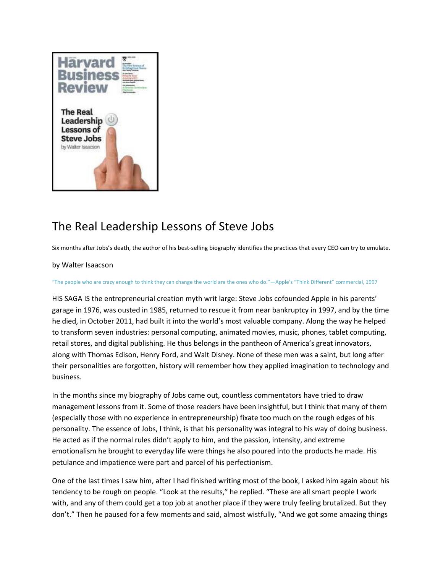

#### The Real Leadership Lessons of Steve Jobs

Six months after Jobs's death, the author of his best-selling biography identifies the practices that every CEO can try to emulate.

#### by Walter Isaacson

"The people who are crazy enough to think they can change the world are the ones who do."—Apple's "Think Different" commercial, 1997

HIS SAGA IS the entrepreneurial creation myth writ large: Steve Jobs cofounded Apple in his parents' garage in 1976, was ousted in 1985, returned to rescue it from near bankruptcy in 1997, and by the time he died, in October 2011, had built it into the world's most valuable company. Along the way he helped to transform seven industries: personal computing, animated movies, music, phones, tablet computing, retail stores, and digital publishing. He thus belongs in the pantheon of America's great innovators, along with Thomas Edison, Henry Ford, and Walt Disney. None of these men was a saint, but long after their personalities are forgotten, history will remember how they applied imagination to technology and business.

In the months since my biography of Jobs came out, countless commentators have tried to draw management lessons from it. Some of those readers have been insightful, but I think that many of them (especially those with no experience in entrepreneurship) fixate too much on the rough edges of his personality. The essence of Jobs, I think, is that his personality was integral to his way of doing business. He acted as if the normal rules didn't apply to him, and the passion, intensity, and extreme emotionalism he brought to everyday life were things he also poured into the products he made. His petulance and impatience were part and parcel of his perfectionism.

One of the last times I saw him, after I had finished writing most of the book, I asked him again about his tendency to be rough on people. "Look at the results," he replied. "These are all smart people I work with, and any of them could get a top job at another place if they were truly feeling brutalized. But they don't." Then he paused for a few moments and said, almost wistfully, "And we got some amazing things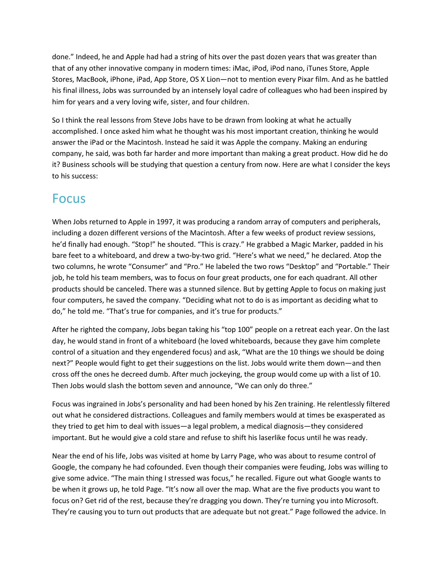done." Indeed, he and Apple had had a string of hits over the past dozen years that was greater than that of any other innovative company in modern times: iMac, iPod, iPod nano, iTunes Store, Apple Stores, MacBook, iPhone, iPad, App Store, OS X Lion—not to mention every Pixar film. And as he battled his final illness, Jobs was surrounded by an intensely loyal cadre of colleagues who had been inspired by him for years and a very loving wife, sister, and four children.

So I think the real lessons from Steve Jobs have to be drawn from looking at what he actually accomplished. I once asked him what he thought was his most important creation, thinking he would answer the iPad or the Macintosh. Instead he said it was Apple the company. Making an enduring company, he said, was both far harder and more important than making a great product. How did he do it? Business schools will be studying that question a century from now. Here are what I consider the keys to his success:

#### Focus

When Jobs returned to Apple in 1997, it was producing a random array of computers and peripherals, including a dozen different versions of the Macintosh. After a few weeks of product review sessions, he'd finally had enough. "Stop!" he shouted. "This is crazy." He grabbed a Magic Marker, padded in his bare feet to a whiteboard, and drew a two-by-two grid. "Here's what we need," he declared. Atop the two columns, he wrote "Consumer" and "Pro." He labeled the two rows "Desktop" and "Portable." Their job, he told his team members, was to focus on four great products, one for each quadrant. All other products should be canceled. There was a stunned silence. But by getting Apple to focus on making just four computers, he saved the company. "Deciding what not to do is as important as deciding what to do," he told me. "That's true for companies, and it's true for products."

After he righted the company, Jobs began taking his "top 100" people on a retreat each year. On the last day, he would stand in front of a whiteboard (he loved whiteboards, because they gave him complete control of a situation and they engendered focus) and ask, "What are the 10 things we should be doing next?" People would fight to get their suggestions on the list. Jobs would write them down—and then cross off the ones he decreed dumb. After much jockeying, the group would come up with a list of 10. Then Jobs would slash the bottom seven and announce, "We can only do three."

Focus was ingrained in Jobs's personality and had been honed by his Zen training. He relentlessly filtered out what he considered distractions. Colleagues and family members would at times be exasperated as they tried to get him to deal with issues—a legal problem, a medical diagnosis—they considered important. But he would give a cold stare and refuse to shift his laserlike focus until he was ready.

Near the end of his life, Jobs was visited at home by Larry Page, who was about to resume control of Google, the company he had cofounded. Even though their companies were feuding, Jobs was willing to give some advice. "The main thing I stressed was focus," he recalled. Figure out what Google wants to be when it grows up, he told Page. "It's now all over the map. What are the five products you want to focus on? Get rid of the rest, because they're dragging you down. They're turning you into Microsoft. They're causing you to turn out products that are adequate but not great." Page followed the advice. In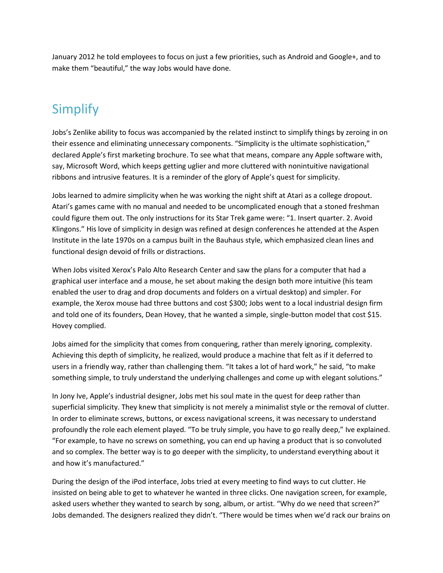January 2012 he told employees to focus on just a few priorities, such as Android and Google+, and to make them "beautiful," the way Jobs would have done.

# Simplify

Jobs's Zenlike ability to focus was accompanied by the related instinct to simplify things by zeroing in on their essence and eliminating unnecessary components. "Simplicity is the ultimate sophistication," declared Apple's first marketing brochure. To see what that means, compare any Apple software with, say, Microsoft Word, which keeps getting uglier and more cluttered with nonintuitive navigational ribbons and intrusive features. It is a reminder of the glory of Apple's quest for simplicity.

Jobs learned to admire simplicity when he was working the night shift at Atari as a college dropout. Atari's games came with no manual and needed to be uncomplicated enough that a stoned freshman could figure them out. The only instructions for its Star Trek game were: "1. Insert quarter. 2. Avoid Klingons." His love of simplicity in design was refined at design conferences he attended at the Aspen Institute in the late 1970s on a campus built in the Bauhaus style, which emphasized clean lines and functional design devoid of frills or distractions.

When Jobs visited Xerox's Palo Alto Research Center and saw the plans for a computer that had a graphical user interface and a mouse, he set about making the design both more intuitive (his team enabled the user to drag and drop documents and folders on a virtual desktop) and simpler. For example, the Xerox mouse had three buttons and cost \$300; Jobs went to a local industrial design firm and told one of its founders, Dean Hovey, that he wanted a simple, single-button model that cost \$15. Hovey complied.

Jobs aimed for the simplicity that comes from conquering, rather than merely ignoring, complexity. Achieving this depth of simplicity, he realized, would produce a machine that felt as if it deferred to users in a friendly way, rather than challenging them. "It takes a lot of hard work," he said, "to make something simple, to truly understand the underlying challenges and come up with elegant solutions."

In Jony Ive, Apple's industrial designer, Jobs met his soul mate in the quest for deep rather than superficial simplicity. They knew that simplicity is not merely a minimalist style or the removal of clutter. In order to eliminate screws, buttons, or excess navigational screens, it was necessary to understand profoundly the role each element played. "To be truly simple, you have to go really deep," Ive explained. "For example, to have no screws on something, you can end up having a product that is so convoluted and so complex. The better way is to go deeper with the simplicity, to understand everything about it and how it's manufactured."

During the design of the iPod interface, Jobs tried at every meeting to find ways to cut clutter. He insisted on being able to get to whatever he wanted in three clicks. One navigation screen, for example, asked users whether they wanted to search by song, album, or artist. "Why do we need that screen?" Jobs demanded. The designers realized they didn't. "There would be times when we'd rack our brains on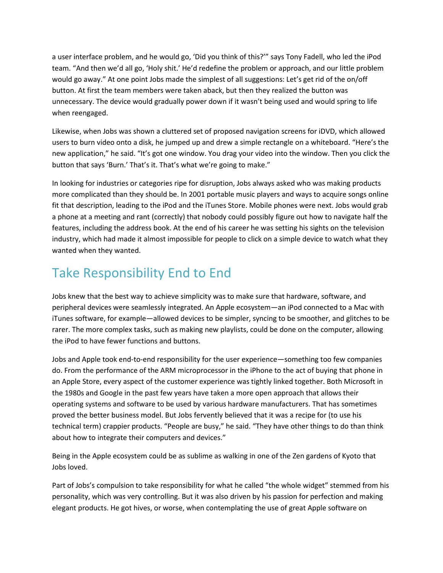a user interface problem, and he would go, 'Did you think of this?'" says Tony Fadell, who led the iPod team. "And then we'd all go, 'Holy shit.' He'd redefine the problem or approach, and our little problem would go away." At one point Jobs made the simplest of all suggestions: Let's get rid of the on/off button. At first the team members were taken aback, but then they realized the button was unnecessary. The device would gradually power down if it wasn't being used and would spring to life when reengaged.

Likewise, when Jobs was shown a cluttered set of proposed navigation screens for iDVD, which allowed users to burn video onto a disk, he jumped up and drew a simple rectangle on a whiteboard. "Here's the new application," he said. "It's got one window. You drag your video into the window. Then you click the button that says 'Burn.' That's it. That's what we're going to make."

In looking for industries or categories ripe for disruption, Jobs always asked who was making products more complicated than they should be. In 2001 portable music players and ways to acquire songs online fit that description, leading to the iPod and the iTunes Store. Mobile phones were next. Jobs would grab a phone at a meeting and rant (correctly) that nobody could possibly figure out how to navigate half the features, including the address book. At the end of his career he was setting his sights on the television industry, which had made it almost impossible for people to click on a simple device to watch what they wanted when they wanted.

#### Take Responsibility End to End

Jobs knew that the best way to achieve simplicity was to make sure that hardware, software, and peripheral devices were seamlessly integrated. An Apple ecosystem—an iPod connected to a Mac with iTunes software, for example—allowed devices to be simpler, syncing to be smoother, and glitches to be rarer. The more complex tasks, such as making new playlists, could be done on the computer, allowing the iPod to have fewer functions and buttons.

Jobs and Apple took end-to-end responsibility for the user experience—something too few companies do. From the performance of the ARM microprocessor in the iPhone to the act of buying that phone in an Apple Store, every aspect of the customer experience was tightly linked together. Both Microsoft in the 1980s and Google in the past few years have taken a more open approach that allows their operating systems and software to be used by various hardware manufacturers. That has sometimes proved the better business model. But Jobs fervently believed that it was a recipe for (to use his technical term) crappier products. "People are busy," he said. "They have other things to do than think about how to integrate their computers and devices."

Being in the Apple ecosystem could be as sublime as walking in one of the Zen gardens of Kyoto that Jobs loved.

Part of Jobs's compulsion to take responsibility for what he called "the whole widget" stemmed from his personality, which was very controlling. But it was also driven by his passion for perfection and making elegant products. He got hives, or worse, when contemplating the use of great Apple software on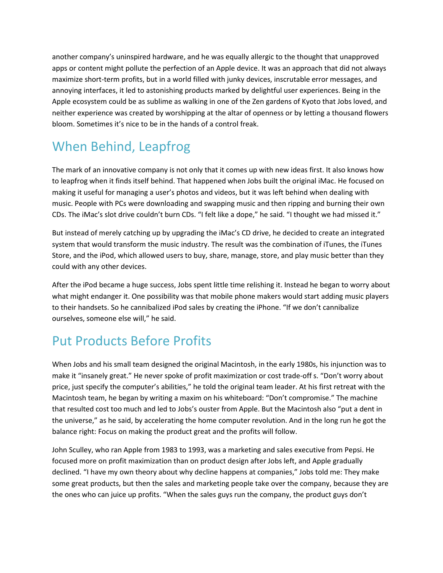another company's uninspired hardware, and he was equally allergic to the thought that unapproved apps or content might pollute the perfection of an Apple device. It was an approach that did not always maximize short-term profits, but in a world filled with junky devices, inscrutable error messages, and annoying interfaces, it led to astonishing products marked by delightful user experiences. Being in the Apple ecosystem could be as sublime as walking in one of the Zen gardens of Kyoto that Jobs loved, and neither experience was created by worshipping at the altar of openness or by letting a thousand flowers bloom. Sometimes it's nice to be in the hands of a control freak.

# When Behind, Leapfrog

The mark of an innovative company is not only that it comes up with new ideas first. It also knows how to leapfrog when it finds itself behind. That happened when Jobs built the original iMac. He focused on making it useful for managing a user's photos and videos, but it was left behind when dealing with music. People with PCs were downloading and swapping music and then ripping and burning their own CDs. The iMac's slot drive couldn't burn CDs. "I felt like a dope," he said. "I thought we had missed it."

But instead of merely catching up by upgrading the iMac's CD drive, he decided to create an integrated system that would transform the music industry. The result was the combination of iTunes, the iTunes Store, and the iPod, which allowed users to buy, share, manage, store, and play music better than they could with any other devices.

After the iPod became a huge success, Jobs spent little time relishing it. Instead he began to worry about what might endanger it. One possibility was that mobile phone makers would start adding music players to their handsets. So he cannibalized iPod sales by creating the iPhone. "If we don't cannibalize ourselves, someone else will," he said.

#### Put Products Before Profits

When Jobs and his small team designed the original Macintosh, in the early 1980s, his injunction was to make it "insanely great." He never spoke of profit maximization or cost trade-off s. "Don't worry about price, just specify the computer's abilities," he told the original team leader. At his first retreat with the Macintosh team, he began by writing a maxim on his whiteboard: "Don't compromise." The machine that resulted cost too much and led to Jobs's ouster from Apple. But the Macintosh also "put a dent in the universe," as he said, by accelerating the home computer revolution. And in the long run he got the balance right: Focus on making the product great and the profits will follow.

John Sculley, who ran Apple from 1983 to 1993, was a marketing and sales executive from Pepsi. He focused more on profit maximization than on product design after Jobs left, and Apple gradually declined. "I have my own theory about why decline happens at companies," Jobs told me: They make some great products, but then the sales and marketing people take over the company, because they are the ones who can juice up profits. "When the sales guys run the company, the product guys don't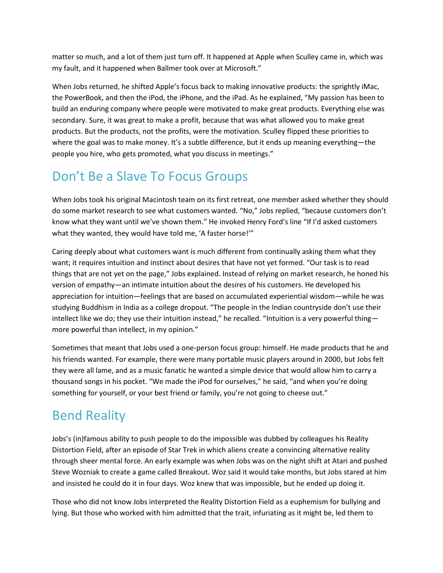matter so much, and a lot of them just turn off. It happened at Apple when Sculley came in, which was my fault, and it happened when Ballmer took over at Microsoft."

When Jobs returned, he shifted Apple's focus back to making innovative products: the sprightly iMac, the PowerBook, and then the iPod, the iPhone, and the iPad. As he explained, "My passion has been to build an enduring company where people were motivated to make great products. Everything else was secondary. Sure, it was great to make a profit, because that was what allowed you to make great products. But the products, not the profits, were the motivation. Sculley flipped these priorities to where the goal was to make money. It's a subtle difference, but it ends up meaning everything—the people you hire, who gets promoted, what you discuss in meetings."

# Don't Be a Slave To Focus Groups

When Jobs took his original Macintosh team on its first retreat, one member asked whether they should do some market research to see what customers wanted. "No," Jobs replied, "because customers don't know what they want until we've shown them." He invoked Henry Ford's line "If I'd asked customers what they wanted, they would have told me, 'A faster horse!'"

Caring deeply about what customers want is much different from continually asking them what they want; it requires intuition and instinct about desires that have not yet formed. "Our task is to read things that are not yet on the page," Jobs explained. Instead of relying on market research, he honed his version of empathy—an intimate intuition about the desires of his customers. He developed his appreciation for intuition—feelings that are based on accumulated experiential wisdom—while he was studying Buddhism in India as a college dropout. "The people in the Indian countryside don't use their intellect like we do; they use their intuition instead," he recalled. "Intuition is a very powerful thing more powerful than intellect, in my opinion."

Sometimes that meant that Jobs used a one-person focus group: himself. He made products that he and his friends wanted. For example, there were many portable music players around in 2000, but Jobs felt they were all lame, and as a music fanatic he wanted a simple device that would allow him to carry a thousand songs in his pocket. "We made the iPod for ourselves," he said, "and when you're doing something for yourself, or your best friend or family, you're not going to cheese out."

# Bend Reality

Jobs's (in)famous ability to push people to do the impossible was dubbed by colleagues his Reality Distortion Field, after an episode of Star Trek in which aliens create a convincing alternative reality through sheer mental force. An early example was when Jobs was on the night shift at Atari and pushed Steve Wozniak to create a game called Breakout. Woz said it would take months, but Jobs stared at him and insisted he could do it in four days. Woz knew that was impossible, but he ended up doing it.

Those who did not know Jobs interpreted the Reality Distortion Field as a euphemism for bullying and lying. But those who worked with him admitted that the trait, infuriating as it might be, led them to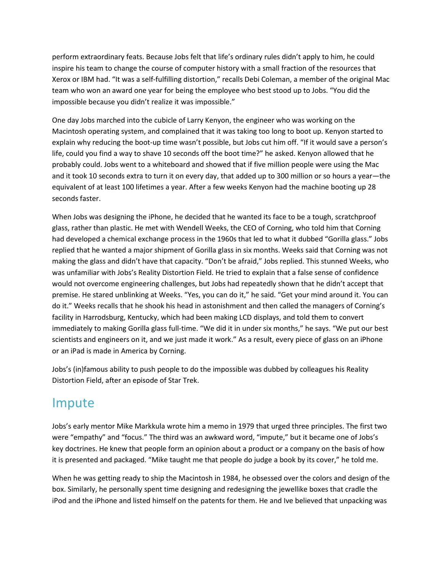perform extraordinary feats. Because Jobs felt that life's ordinary rules didn't apply to him, he could inspire his team to change the course of computer history with a small fraction of the resources that Xerox or IBM had. "It was a self-fulfilling distortion," recalls Debi Coleman, a member of the original Mac team who won an award one year for being the employee who best stood up to Jobs. "You did the impossible because you didn't realize it was impossible."

One day Jobs marched into the cubicle of Larry Kenyon, the engineer who was working on the Macintosh operating system, and complained that it was taking too long to boot up. Kenyon started to explain why reducing the boot-up time wasn't possible, but Jobs cut him off. "If it would save a person's life, could you find a way to shave 10 seconds off the boot time?" he asked. Kenyon allowed that he probably could. Jobs went to a whiteboard and showed that if five million people were using the Mac and it took 10 seconds extra to turn it on every day, that added up to 300 million or so hours a year—the equivalent of at least 100 lifetimes a year. After a few weeks Kenyon had the machine booting up 28 seconds faster.

When Jobs was designing the iPhone, he decided that he wanted its face to be a tough, scratchproof glass, rather than plastic. He met with Wendell Weeks, the CEO of Corning, who told him that Corning had developed a chemical exchange process in the 1960s that led to what it dubbed "Gorilla glass." Jobs replied that he wanted a major shipment of Gorilla glass in six months. Weeks said that Corning was not making the glass and didn't have that capacity. "Don't be afraid," Jobs replied. This stunned Weeks, who was unfamiliar with Jobs's Reality Distortion Field. He tried to explain that a false sense of confidence would not overcome engineering challenges, but Jobs had repeatedly shown that he didn't accept that premise. He stared unblinking at Weeks. "Yes, you can do it," he said. "Get your mind around it. You can do it." Weeks recalls that he shook his head in astonishment and then called the managers of Corning's facility in Harrodsburg, Kentucky, which had been making LCD displays, and told them to convert immediately to making Gorilla glass full-time. "We did it in under six months," he says. "We put our best scientists and engineers on it, and we just made it work." As a result, every piece of glass on an iPhone or an iPad is made in America by Corning.

Jobs's (in)famous ability to push people to do the impossible was dubbed by colleagues his Reality Distortion Field, after an episode of Star Trek.

#### Impute

Jobs's early mentor Mike Markkula wrote him a memo in 1979 that urged three principles. The first two were "empathy" and "focus." The third was an awkward word, "impute," but it became one of Jobs's key doctrines. He knew that people form an opinion about a product or a company on the basis of how it is presented and packaged. "Mike taught me that people do judge a book by its cover," he told me.

When he was getting ready to ship the Macintosh in 1984, he obsessed over the colors and design of the box. Similarly, he personally spent time designing and redesigning the jewellike boxes that cradle the iPod and the iPhone and listed himself on the patents for them. He and Ive believed that unpacking was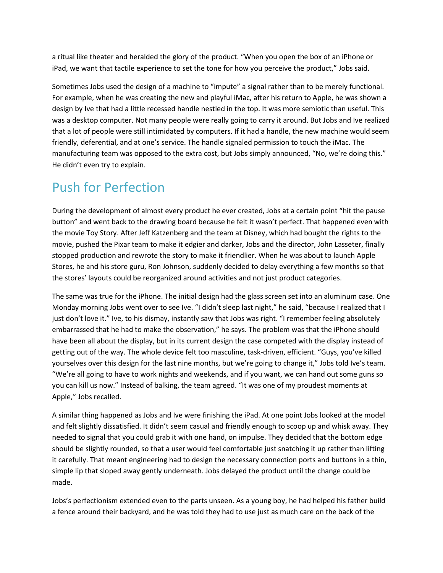a ritual like theater and heralded the glory of the product. "When you open the box of an iPhone or iPad, we want that tactile experience to set the tone for how you perceive the product," Jobs said.

Sometimes Jobs used the design of a machine to "impute" a signal rather than to be merely functional. For example, when he was creating the new and playful iMac, after his return to Apple, he was shown a design by Ive that had a little recessed handle nestled in the top. It was more semiotic than useful. This was a desktop computer. Not many people were really going to carry it around. But Jobs and Ive realized that a lot of people were still intimidated by computers. If it had a handle, the new machine would seem friendly, deferential, and at one's service. The handle signaled permission to touch the iMac. The manufacturing team was opposed to the extra cost, but Jobs simply announced, "No, we're doing this." He didn't even try to explain.

# Push for Perfection

During the development of almost every product he ever created, Jobs at a certain point "hit the pause button" and went back to the drawing board because he felt it wasn't perfect. That happened even with the movie Toy Story. After Jeff Katzenberg and the team at Disney, which had bought the rights to the movie, pushed the Pixar team to make it edgier and darker, Jobs and the director, John Lasseter, finally stopped production and rewrote the story to make it friendlier. When he was about to launch Apple Stores, he and his store guru, Ron Johnson, suddenly decided to delay everything a few months so that the stores' layouts could be reorganized around activities and not just product categories.

The same was true for the iPhone. The initial design had the glass screen set into an aluminum case. One Monday morning Jobs went over to see Ive. "I didn't sleep last night," he said, "because I realized that I just don't love it." Ive, to his dismay, instantly saw that Jobs was right. "I remember feeling absolutely embarrassed that he had to make the observation," he says. The problem was that the iPhone should have been all about the display, but in its current design the case competed with the display instead of getting out of the way. The whole device felt too masculine, task-driven, efficient. "Guys, you've killed yourselves over this design for the last nine months, but we're going to change it," Jobs told Ive's team. "We're all going to have to work nights and weekends, and if you want, we can hand out some guns so you can kill us now." Instead of balking, the team agreed. "It was one of my proudest moments at Apple," Jobs recalled.

A similar thing happened as Jobs and Ive were finishing the iPad. At one point Jobs looked at the model and felt slightly dissatisfied. It didn't seem casual and friendly enough to scoop up and whisk away. They needed to signal that you could grab it with one hand, on impulse. They decided that the bottom edge should be slightly rounded, so that a user would feel comfortable just snatching it up rather than lifting it carefully. That meant engineering had to design the necessary connection ports and buttons in a thin, simple lip that sloped away gently underneath. Jobs delayed the product until the change could be made.

Jobs's perfectionism extended even to the parts unseen. As a young boy, he had helped his father build a fence around their backyard, and he was told they had to use just as much care on the back of the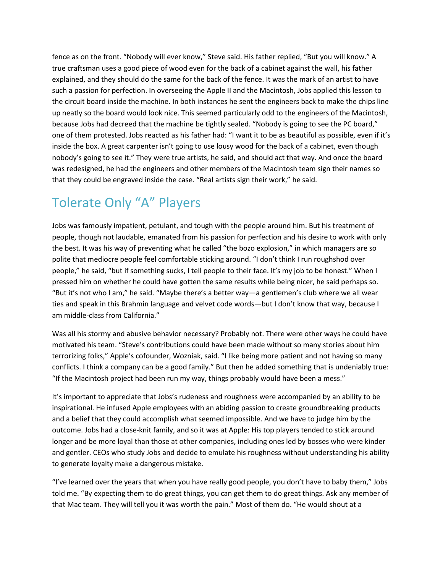fence as on the front. "Nobody will ever know," Steve said. His father replied, "But you will know." A true craftsman uses a good piece of wood even for the back of a cabinet against the wall, his father explained, and they should do the same for the back of the fence. It was the mark of an artist to have such a passion for perfection. In overseeing the Apple II and the Macintosh, Jobs applied this lesson to the circuit board inside the machine. In both instances he sent the engineers back to make the chips line up neatly so the board would look nice. This seemed particularly odd to the engineers of the Macintosh, because Jobs had decreed that the machine be tightly sealed. "Nobody is going to see the PC board," one of them protested. Jobs reacted as his father had: "I want it to be as beautiful as possible, even if it's inside the box. A great carpenter isn't going to use lousy wood for the back of a cabinet, even though nobody's going to see it." They were true artists, he said, and should act that way. And once the board was redesigned, he had the engineers and other members of the Macintosh team sign their names so that they could be engraved inside the case. "Real artists sign their work," he said.

#### Tolerate Only "A" Players

Jobs was famously impatient, petulant, and tough with the people around him. But his treatment of people, though not laudable, emanated from his passion for perfection and his desire to work with only the best. It was his way of preventing what he called "the bozo explosion," in which managers are so polite that mediocre people feel comfortable sticking around. "I don't think I run roughshod over people," he said, "but if something sucks, I tell people to their face. It's my job to be honest." When I pressed him on whether he could have gotten the same results while being nicer, he said perhaps so. "But it's not who I am," he said. "Maybe there's a better way—a gentlemen's club where we all wear ties and speak in this Brahmin language and velvet code words—but I don't know that way, because I am middle-class from California."

Was all his stormy and abusive behavior necessary? Probably not. There were other ways he could have motivated his team. "Steve's contributions could have been made without so many stories about him terrorizing folks," Apple's cofounder, Wozniak, said. "I like being more patient and not having so many conflicts. I think a company can be a good family." But then he added something that is undeniably true: "If the Macintosh project had been run my way, things probably would have been a mess."

It's important to appreciate that Jobs's rudeness and roughness were accompanied by an ability to be inspirational. He infused Apple employees with an abiding passion to create groundbreaking products and a belief that they could accomplish what seemed impossible. And we have to judge him by the outcome. Jobs had a close-knit family, and so it was at Apple: His top players tended to stick around longer and be more loyal than those at other companies, including ones led by bosses who were kinder and gentler. CEOs who study Jobs and decide to emulate his roughness without understanding his ability to generate loyalty make a dangerous mistake.

"I've learned over the years that when you have really good people, you don't have to baby them," Jobs told me. "By expecting them to do great things, you can get them to do great things. Ask any member of that Mac team. They will tell you it was worth the pain." Most of them do. "He would shout at a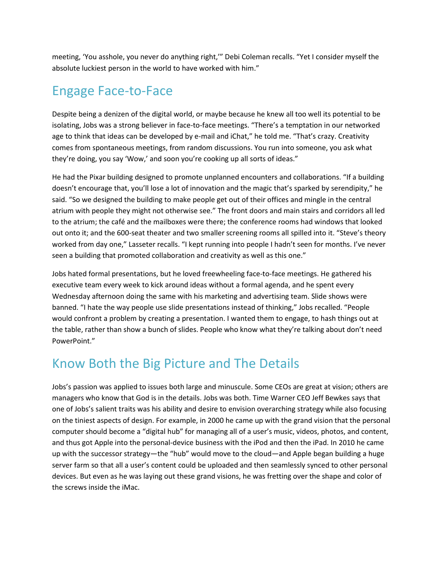meeting, 'You asshole, you never do anything right,'" Debi Coleman recalls. "Yet I consider myself the absolute luckiest person in the world to have worked with him."

# Engage Face-to-Face

Despite being a denizen of the digital world, or maybe because he knew all too well its potential to be isolating, Jobs was a strong believer in face-to-face meetings. "There's a temptation in our networked age to think that ideas can be developed by e-mail and iChat," he told me. "That's crazy. Creativity comes from spontaneous meetings, from random discussions. You run into someone, you ask what they're doing, you say 'Wow,' and soon you're cooking up all sorts of ideas."

He had the Pixar building designed to promote unplanned encounters and collaborations. "If a building doesn't encourage that, you'll lose a lot of innovation and the magic that's sparked by serendipity," he said. "So we designed the building to make people get out of their offices and mingle in the central atrium with people they might not otherwise see." The front doors and main stairs and corridors all led to the atrium; the café and the mailboxes were there; the conference rooms had windows that looked out onto it; and the 600-seat theater and two smaller screening rooms all spilled into it. "Steve's theory worked from day one," Lasseter recalls. "I kept running into people I hadn't seen for months. I've never seen a building that promoted collaboration and creativity as well as this one."

Jobs hated formal presentations, but he loved freewheeling face-to-face meetings. He gathered his executive team every week to kick around ideas without a formal agenda, and he spent every Wednesday afternoon doing the same with his marketing and advertising team. Slide shows were banned. "I hate the way people use slide presentations instead of thinking," Jobs recalled. "People would confront a problem by creating a presentation. I wanted them to engage, to hash things out at the table, rather than show a bunch of slides. People who know what they're talking about don't need PowerPoint."

#### Know Both the Big Picture and The Details

Jobs's passion was applied to issues both large and minuscule. Some CEOs are great at vision; others are managers who know that God is in the details. Jobs was both. Time Warner CEO Jeff Bewkes says that one of Jobs's salient traits was his ability and desire to envision overarching strategy while also focusing on the tiniest aspects of design. For example, in 2000 he came up with the grand vision that the personal computer should become a "digital hub" for managing all of a user's music, videos, photos, and content, and thus got Apple into the personal-device business with the iPod and then the iPad. In 2010 he came up with the successor strategy—the "hub" would move to the cloud—and Apple began building a huge server farm so that all a user's content could be uploaded and then seamlessly synced to other personal devices. But even as he was laying out these grand visions, he was fretting over the shape and color of the screws inside the iMac.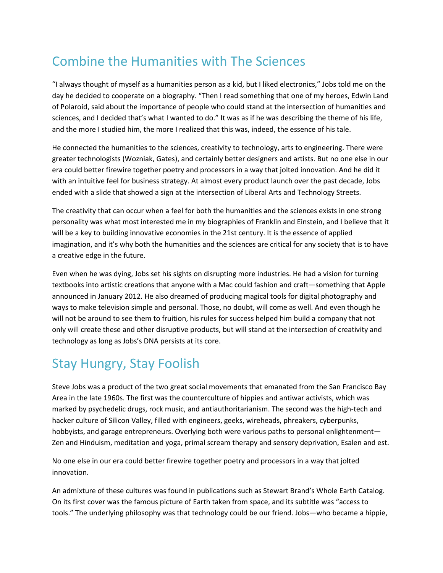# Combine the Humanities with The Sciences

"I always thought of myself as a humanities person as a kid, but I liked electronics," Jobs told me on the day he decided to cooperate on a biography. "Then I read something that one of my heroes, Edwin Land of Polaroid, said about the importance of people who could stand at the intersection of humanities and sciences, and I decided that's what I wanted to do." It was as if he was describing the theme of his life, and the more I studied him, the more I realized that this was, indeed, the essence of his tale.

He connected the humanities to the sciences, creativity to technology, arts to engineering. There were greater technologists (Wozniak, Gates), and certainly better designers and artists. But no one else in our era could better firewire together poetry and processors in a way that jolted innovation. And he did it with an intuitive feel for business strategy. At almost every product launch over the past decade, Jobs ended with a slide that showed a sign at the intersection of Liberal Arts and Technology Streets.

The creativity that can occur when a feel for both the humanities and the sciences exists in one strong personality was what most interested me in my biographies of Franklin and Einstein, and I believe that it will be a key to building innovative economies in the 21st century. It is the essence of applied imagination, and it's why both the humanities and the sciences are critical for any society that is to have a creative edge in the future.

Even when he was dying, Jobs set his sights on disrupting more industries. He had a vision for turning textbooks into artistic creations that anyone with a Mac could fashion and craft—something that Apple announced in January 2012. He also dreamed of producing magical tools for digital photography and ways to make television simple and personal. Those, no doubt, will come as well. And even though he will not be around to see them to fruition, his rules for success helped him build a company that not only will create these and other disruptive products, but will stand at the intersection of creativity and technology as long as Jobs's DNA persists at its core.

# Stay Hungry, Stay Foolish

Steve Jobs was a product of the two great social movements that emanated from the San Francisco Bay Area in the late 1960s. The first was the counterculture of hippies and antiwar activists, which was marked by psychedelic drugs, rock music, and antiauthoritarianism. The second was the high-tech and hacker culture of Silicon Valley, filled with engineers, geeks, wireheads, phreakers, cyberpunks, hobbyists, and garage entrepreneurs. Overlying both were various paths to personal enlightenment— Zen and Hinduism, meditation and yoga, primal scream therapy and sensory deprivation, Esalen and est.

No one else in our era could better firewire together poetry and processors in a way that jolted innovation.

An admixture of these cultures was found in publications such as Stewart Brand's Whole Earth Catalog. On its first cover was the famous picture of Earth taken from space, and its subtitle was "access to tools." The underlying philosophy was that technology could be our friend. Jobs—who became a hippie,